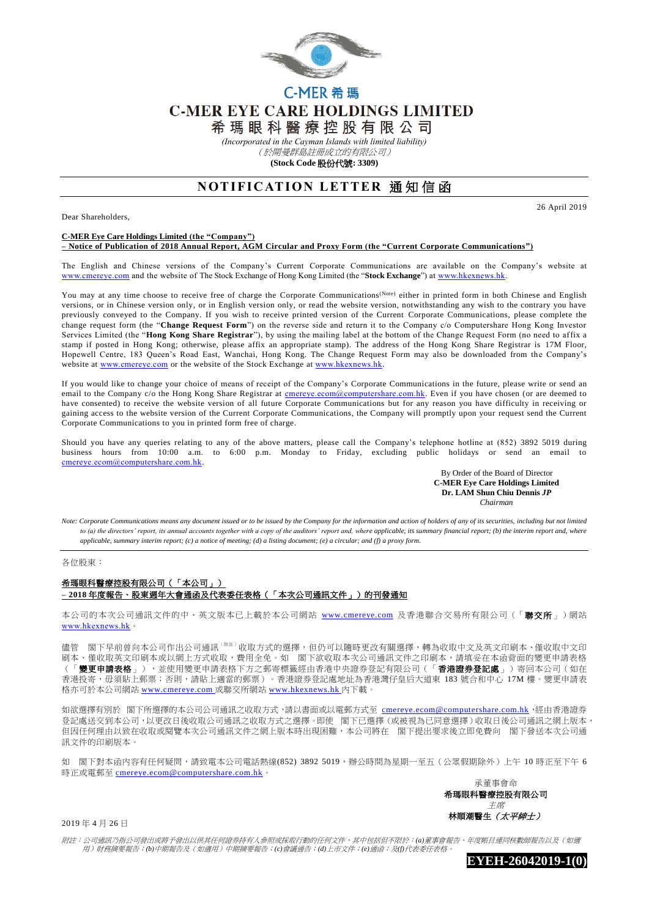

## C-MER 希 瑪 **C-MER EYE CARE HOLDINGS LIMITED**

希 瑪 眼 科 醫 療 控 股 有 限 公 司

*(Incorporated in the Cayman Islands with limited liability)*

(於開曼群島註冊成立的有限公司)

**(Stock Code** 股份代號**: 3309)**

## **NOTIFICATION LETTER 通知信函**

Dear Shareholders,

## **C-MER Eye Care Holdings Limited (the "Company")**

**– Notice of Publication of 2018 Annual Report, AGM Circular and Proxy Form (the "Current Corporate Communications")** 

The English and Chinese versions of the Company's Current Corporate Communications are available on the Company's website at [www.cmereye.com](http://www.cmereye.com/) and the website of The Stock Exchange of Hong Kong Limited (the "**Stock Exchange**") at [www.hkexnews.hk.](http://www.hkexnews.hk/)

You may at any time choose to receive free of charge the Corporate Communications<sup>(Note)</sup> either in printed form in both Chinese and English versions, or in Chinese version only, or in English version only, or read the website version, notwithstanding any wish to the contrary you have previously conveyed to the Company. If you wish to receive printed version of the Current Corporate Communications, please complete the change request form (the "**Change Request Form**") on the reverse side and return it to the Company c/o Computershare Hong Kong Investor Services Limited (the "**Hong Kong Share Registrar**"), by using the mailing label at the bottom of the Change Request Form (no need to affix a stamp if posted in Hong Kong; otherwise, please affix an appropriate stamp). The address of the Hong Kong Share Registrar is 17M Floor, Hopewell Centre, 183 Queen's Road East, Wanchai, Hong Kong. The Change Request Form may also be downloaded from the Company's website at [www.cmereye.com](http://www.cmereye.com/) or the website of the Stock Exchange a[t www.hkexnews.hk.](http://www.hkexnews.hk/)

If you would like to change your choice of means of receipt of the Company's Corporate Communications in the future, please write or send an email to the Company c/o the Hong Kong Share Registrar at [cmereye.ecom@computershare.com.hk.](mailto:cmereye.ecom@computershare.com.hk) Even if you have chosen (or are deemed to have consented) to receive the website version of all future Corporate Communications but for any reason you have difficulty in receiving or gaining access to the website version of the Current Corporate Communications, the Company will promptly upon your request send the Current Corporate Communications to you in printed form free of charge.

Should you have any queries relating to any of the above matters, please call the Company's telephone hotline at (852) 3892 5019 during business hours from 10:00 a.m. to 6:00 p.m. Monday to Friday, excluding public holidays or send an email to [cmereye.ecom@computershare.com.hk.](mailto:cmereye.ecom@computershare.com.hk)

> By Order of the Board of Director  **C-MER Eye Care Holdings Limited Dr. LAM Shun Chiu Dennis** *JP Chairman*

26 April 2019

*Note: Corporate Communications means any document issued or to be issued by the Company for the information and action of holders of any of its securities, including but not limited*  to (a) the directors' report, its annual accounts together with a copy of the auditors' report and, where applicable, its summary financial report; (b) the interim report and, where *applicable, summary interim report; (c) a notice of meeting; (d) a listing document; (e) a circular; and (f) a proxy form.*

各位股東:

## 希瑪眼科醫療控股有限公司(「本公司」) **– 2018** 年度報告、股東週年大會通函及代表委任表格(「本次公司通訊文件」)的刊發通知

本公司的本次公司通訊文件的中、英文版本已上載於本公司網站 [www.cmereye.com](http://www.cmereye.com/) 及香港聯合交易所有限公司(「聯交所」)網站 [www.hkexnews.hk](http://www.hkexnews.hk/)。

儘管 閣下早前曾向本公司作出公司通訊<sup>(附註)</sup>收取方式的選擇,但仍可以隨時更改有關選擇,轉為收取中文及英文印刷本、僅收取中文印 刷本、僅收取英文印刷本或以網上方式收取,費用全免。如 閣下欲收取本次公司通訊文件之印刷本,請填妥在本函背面的變更申請表格 (「**變更申請表格**」),並使用變更申請表格下方之郵寄標籤經由香港中央證券登記有限公司(「**香港證券登記處**」)寄回本公司 (如在 香港投寄,毋須貼上郵票;否則,請貼上適當的郵票)。香港證券登記處地址為香港灣仔皇后大道東 183 號合和中心 17M 樓。變更申請表 格亦可於本公司網站 [www.cmereye.com](http://www.cmereye.com/) 或聯交所網站 [www.hkexnews.hk](http://www.hkexnews.hk/) 內下載。

如欲選擇有別於 閣下所選擇的本公司公司通訊之收取方式,請以書面或以電郵方式至 [cmereye.ecom@computershare.com.hk](mailto:cmereye.ecom@computershare.com.hk), 經由香港證券 登記處送交到本公司,以更改日後收取公司通訊之收取方式之選擇。即使 閣下已選擇 (或被視為已同意選擇)收取日後公司通訊之網上版本, 但因任何理由以致在收取或閱覽本次公司通訊文件之網上版本時出現困難,本公司將在 閣下提出要求後立即免費向 閣下發送本次公司通 訊文件的印刷版本。

如 閣下對本函內容有任何疑問,請致電本公司電話熱線(852) 3892 5019,辦公時間為星期一至五(公眾假期除外)上午 10 時正至下午 6 時正或電郵至 [cmereye.ecom@computershare.com.hk](mailto:cmereye.ecom@computershare.com.hk)。

> 承董事會命 希瑪眼科醫療控股有限公司 主席 林順潮醫生(太平紳士)

2019 年 4 月 26 日

附註:公司通訊乃指公司發出或將予發出以供其任何證券持有人參照或採取行動的任何文件,其中包括但不限於:*(a)*董事會報告、年度帳目連同核數師報告以及(如適 用)財務摘要報告;*(b)*中期報告及(如適用)中期摘要報告;*(c)*會議通告;*(d)*上市文件;*(e)*通函;及*(f)*代表委任表格。